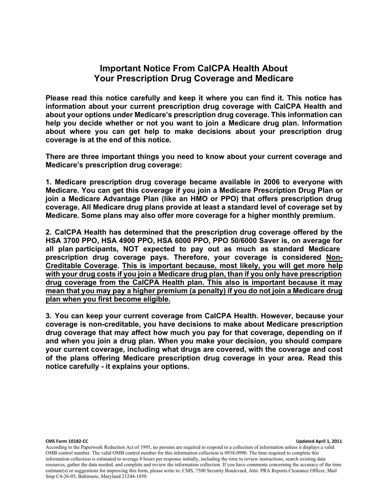#### **Important Notice From CalCPA Health About Your Prescription Drug Coverage and Medicare**

**Please read this notice carefully and keep it where you can find it. This notice has information about your current prescription drug coverage with CalCPA Health and about your options under Medicare's prescription drug coverage. This information can help you decide whether or not you want to join a Medicare drug plan. Information about where you can get help to make decisions about your prescription drug coverage is at the end of this notice.** 

**There are three important things you need to know about your current coverage and Medicare's prescription drug coverage:** 

**1. Medicare prescription drug coverage became available in 2006 to everyone with Medicare. You can get this coverage if you join a Medicare Prescription Drug Plan or join a Medicare Advantage Plan (like an HMO or PPO) that offers prescription drug coverage. All Medicare drug plans provide at least a standard level of coverage set by Medicare. Some plans may also offer more coverage for a higher monthly premium.**

**2. CalCPA Health has determined that the prescription drug coverage offered by the HSA 3700 PPO, HSA 4900 PPO, HSA 6000 PPO, PPO 50/6000 Saver is, on average for all plan participants, NOT expected to pay out as much as standard Medicare prescription drug coverage pays. Therefore, your coverage is considered Non-Creditable Coverage. This is important because, most likely, you will get more help with your drug costs if you join a Medicare drug plan, than if you only have prescription drug coverage from the CalCPA Health plan. This also is important because it may mean that you may pay a higher premium (a penalty) if you do not join a Medicare drug plan when you first become eligible.**

**3. You can keep your current coverage from CalCPA Health. However, because your coverage is non-creditable, you have decisions to make about Medicare prescription drug coverage that may affect how much you pay for that coverage, depending on if and when you join a drug plan. When you make your decision, you should compare your current coverage, including what drugs are covered, with the coverage and cost of the plans offering Medicare prescription drug coverage in your area. Read this notice carefully - it explains your options.**

#### **CMS Form 10182-CC Updated April 1, 2011**

According to the Paperwork Reduction Act of 1995, no persons are required to respond to a collection of information unless it displays a valid OMB control number. The valid OMB control number for this information collection is 0938-0990. The time required to complete this information collection is estimated to average 8 hours per response initially, including the time to review instructions, search existing data resources, gather the data needed, and complete and review the information collection. If you have comments concerning the accuracy of the time estimate(s) or suggestions for improving this form, please write to: CMS, 7500 Security Boulevard, Attn: PRA Reports Clearance Officer, Mail Stop C4-26-05, Baltimore, Maryland 21244-1850.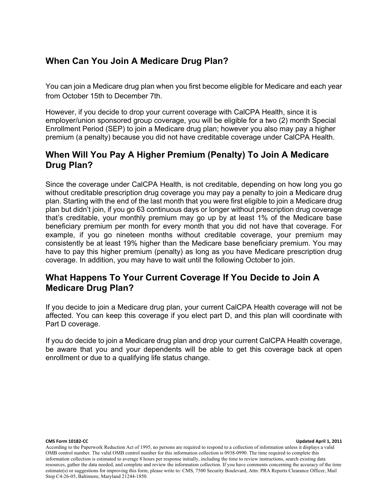# **When Can You Join A Medicare Drug Plan?**

You can join a Medicare drug plan when you first become eligible for Medicare and each year from October 15th to December 7th.

However, if you decide to drop your current coverage with CalCPA Health, since it is employer/union sponsored group coverage, you will be eligible for a two (2) month Special Enrollment Period (SEP) to join a Medicare drug plan; however you also may pay a higher premium (a penalty) because you did not have creditable coverage under CalCPA Health.

# **When Will You Pay A Higher Premium (Penalty) To Join A Medicare Drug Plan?**

Since the coverage under CalCPA Health, is not creditable, depending on how long you go without creditable prescription drug coverage you may pay a penalty to join a Medicare drug plan. Starting with the end of the last month that you were first eligible to join a Medicare drug plan but didn't join, if you go 63 continuous days or longer without prescription drug coverage that's creditable, your monthly premium may go up by at least 1% of the Medicare base beneficiary premium per month for every month that you did not have that coverage. For example, if you go nineteen months without creditable coverage, your premium may consistently be at least 19% higher than the Medicare base beneficiary premium. You may have to pay this higher premium (penalty) as long as you have Medicare prescription drug coverage. In addition, you may have to wait until the following October to join.

### **What Happens To Your Current Coverage If You Decide to Join A Medicare Drug Plan?**

If you decide to join a Medicare drug plan, your current CalCPA Health coverage will not be affected. You can keep this coverage if you elect part D, and this plan will coordinate with Part D coverage.

If you do decide to join a Medicare drug plan and drop your current CalCPA Health coverage, be aware that you and your dependents will be able to get this coverage back at open enrollment or due to a qualifying life status change.

#### **CMS Form 10182-CC Updated April 1, 2011**

According to the Paperwork Reduction Act of 1995, no persons are required to respond to a collection of information unless it displays a valid OMB control number. The valid OMB control number for this information collection is 0938-0990. The time required to complete this information collection is estimated to average 8 hours per response initially, including the time to review instructions, search existing data resources, gather the data needed, and complete and review the information collection. If you have comments concerning the accuracy of the time estimate(s) or suggestions for improving this form, please write to: CMS, 7500 Security Boulevard, Attn: PRA Reports Clearance Officer, Mail Stop C4-26-05, Baltimore, Maryland 21244-1850.